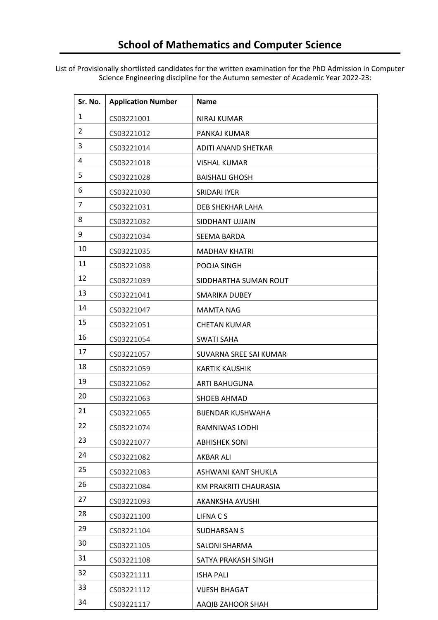List of Provisionally shortlisted candidates for the written examination for the PhD Admission in Computer Science Engineering discipline for the Autumn semester of Academic Year 2022-23:

| Sr. No.        | <b>Application Number</b> | Name                     |
|----------------|---------------------------|--------------------------|
| $\mathbf{1}$   | CS03221001                | <b>NIRAJ KUMAR</b>       |
| $\overline{2}$ | CS03221012                | PANKAJ KUMAR             |
| 3              | CS03221014                | ADITI ANAND SHETKAR      |
| 4              | CS03221018                | <b>VISHAL KUMAR</b>      |
| 5              | CS03221028                | <b>BAISHALI GHOSH</b>    |
| 6              | CS03221030                | <b>SRIDARI IYER</b>      |
| 7              | CS03221031                | DEB SHEKHAR LAHA         |
| 8              | CS03221032                | SIDDHANT UJJAIN          |
| 9              | CS03221034                | SEEMA BARDA              |
| 10             | CS03221035                | <b>MADHAV KHATRI</b>     |
| 11             | CS03221038                | POOJA SINGH              |
| 12             | CS03221039                | SIDDHARTHA SUMAN ROUT    |
| 13             | CS03221041                | SMARIKA DUBEY            |
| 14             | CS03221047                | <b>MAMTA NAG</b>         |
| 15             | CS03221051                | <b>CHETAN KUMAR</b>      |
| 16             | CS03221054                | <b>SWATI SAHA</b>        |
| 17             | CS03221057                | SUVARNA SREE SAI KUMAR   |
| 18             | CS03221059                | <b>KARTIK KAUSHIK</b>    |
| 19             | CS03221062                | <b>ARTI BAHUGUNA</b>     |
| 20             | CS03221063                | <b>SHOEB AHMAD</b>       |
| 21             | CS03221065                | <b>BIJENDAR KUSHWAHA</b> |
| 22             | CS03221074                | RAMNIWAS LODHI           |
| 23             | CS03221077                | <b>ABHISHEK SONI</b>     |
| 24             | CS03221082                | AKBAR ALI                |
| 25             | CS03221083                | ASHWANI KANT SHUKLA      |
| 26             | CS03221084                | KM PRAKRITI CHAURASIA    |
| 27             | CS03221093                | AKANKSHA AYUSHI          |
| 28             | CS03221100                | LIFNACS                  |
| 29             | CS03221104                | <b>SUDHARSAN S</b>       |
| 30             | CS03221105                | SALONI SHARMA            |
| 31             | CS03221108                | SATYA PRAKASH SINGH      |
| 32             | CS03221111                | <b>ISHA PALI</b>         |
| 33             | CS03221112                | <b>VIJESH BHAGAT</b>     |
| 34             | CS03221117                | AAQIB ZAHOOR SHAH        |